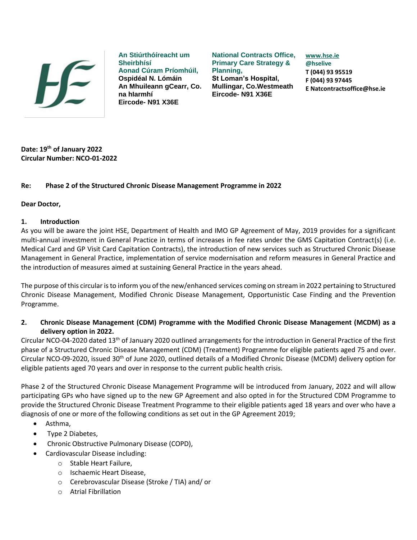

**An Stiúrthóíreacht um Sheirbhísí Aonad Cúram Príomhúil, Ospidéal N. Lómáin An Mhuileann gCearr, Co. na hIarmhí Eircode- N91 X36E**

**National Contracts Office, Primary Care Strategy & Planning, St Loman's Hospital, Mullingar, Co.Westmeath Eircode- N91 X36E**

**[www.hse.ie](http://www.hse.ie/) @hselive T (044) 93 95519 F (044) 93 97445 E Natcontractsoffice@hse.ie**

**Date: 19th of January 2022 Circular Number: NCO-01-2022**

### **Re: Phase 2 of the Structured Chronic Disease Management Programme in 2022**

#### **Dear Doctor,**

#### **1. Introduction**

As you will be aware the joint HSE, Department of Health and IMO GP Agreement of May, 2019 provides for a significant multi-annual investment in General Practice in terms of increases in fee rates under the GMS Capitation Contract(s) (i.e. Medical Card and GP Visit Card Capitation Contracts), the introduction of new services such as Structured Chronic Disease Management in General Practice, implementation of service modernisation and reform measures in General Practice and the introduction of measures aimed at sustaining General Practice in the years ahead.

The purpose of this circular is to inform you of the new/enhanced services coming on stream in 2022 pertaining to Structured Chronic Disease Management, Modified Chronic Disease Management, Opportunistic Case Finding and the Prevention Programme.

**2. Chronic Disease Management (CDM) Programme with the Modified Chronic Disease Management (MCDM) as a delivery option in 2022.** 

Circular NCO-04-2020 dated 13<sup>th</sup> of January 2020 outlined arrangements for the introduction in General Practice of the first phase of a Structured Chronic Disease Management (CDM) (Treatment) Programme for eligible patients aged 75 and over. Circular NCO-09-2020, issued 30th of June 2020, outlined details of a Modified Chronic Disease (MCDM) delivery option for eligible patients aged 70 years and over in response to the current public health crisis.

Phase 2 of the Structured Chronic Disease Management Programme will be introduced from January, 2022 and will allow participating GPs who have signed up to the new GP Agreement and also opted in for the Structured CDM Programme to provide the Structured Chronic Disease Treatment Programme to their eligible patients aged 18 years and over who have a diagnosis of one or more of the following conditions as set out in the GP Agreement 2019;

- Asthma,
- Type 2 Diabetes,
- Chronic Obstructive Pulmonary Disease (COPD),
- Cardiovascular Disease including:
	- o Stable Heart Failure,
	- o Ischaemic Heart Disease,
	- o Cerebrovascular Disease (Stroke / TIA) and/ or
	- o Atrial Fibrillation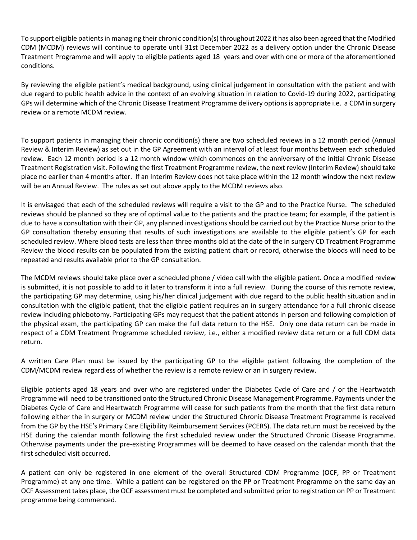To support eligible patients in managing their chronic condition(s) throughout 2022 it has also been agreed that the Modified CDM (MCDM) reviews will continue to operate until 31st December 2022 as a delivery option under the Chronic Disease Treatment Programme and will apply to eligible patients aged 18 years and over with one or more of the aforementioned conditions.

By reviewing the eligible patient's medical background, using clinical judgement in consultation with the patient and with due regard to public health advice in the context of an evolving situation in relation to Covid-19 during 2022, participating GPs will determine which of the Chronic Disease Treatment Programme delivery options is appropriate i.e. a CDM in surgery review or a remote MCDM review.

To support patients in managing their chronic condition(s) there are two scheduled reviews in a 12 month period (Annual Review & Interim Review) as set out in the GP Agreement with an interval of at least four months between each scheduled review. Each 12 month period is a 12 month window which commences on the anniversary of the initial Chronic Disease Treatment Registration visit. Following the first Treatment Programme review, the next review (Interim Review) should take place no earlier than 4 months after. If an Interim Review does not take place within the 12 month window the next review will be an Annual Review. The rules as set out above apply to the MCDM reviews also.

It is envisaged that each of the scheduled reviews will require a visit to the GP and to the Practice Nurse. The scheduled reviews should be planned so they are of optimal value to the patients and the practice team; for example, if the patient is due to have a consultation with their GP, any planned investigations should be carried out by the Practice Nurse prior to the GP consultation thereby ensuring that results of such investigations are available to the eligible patient's GP for each scheduled review. Where blood tests are less than three months old at the date of the in surgery CD Treatment Programme Review the blood results can be populated from the existing patient chart or record, otherwise the bloods will need to be repeated and results available prior to the GP consultation.

The MCDM reviews should take place over a scheduled phone / video call with the eligible patient. Once a modified review is submitted, it is not possible to add to it later to transform it into a full review. During the course of this remote review, the participating GP may determine, using his/her clinical judgement with due regard to the public health situation and in consultation with the eligible patient, that the eligible patient requires an in surgery attendance for a full chronic disease review including phlebotomy. Participating GPs may request that the patient attends in person and following completion of the physical exam, the participating GP can make the full data return to the HSE. Only one data return can be made in respect of a CDM Treatment Programme scheduled review, i.e., either a modified review data return or a full CDM data return.

A written Care Plan must be issued by the participating GP to the eligible patient following the completion of the CDM/MCDM review regardless of whether the review is a remote review or an in surgery review.

Eligible patients aged 18 years and over who are registered under the Diabetes Cycle of Care and / or the Heartwatch Programme will need to be transitioned onto the Structured Chronic Disease Management Programme. Payments under the Diabetes Cycle of Care and Heartwatch Programme will cease for such patients from the month that the first data return following either the in surgery or MCDM review under the Structured Chronic Disease Treatment Programme is received from the GP by the HSE's Primary Care Eligibility Reimbursement Services (PCERS). The data return must be received by the HSE during the calendar month following the first scheduled review under the Structured Chronic Disease Programme. Otherwise payments under the pre-existing Programmes will be deemed to have ceased on the calendar month that the first scheduled visit occurred.

A patient can only be registered in one element of the overall Structured CDM Programme (OCF, PP or Treatment Programme) at any one time. While a patient can be registered on the PP or Treatment Programme on the same day an OCF Assessment takes place, the OCF assessment must be completed and submitted prior to registration on PP or Treatment programme being commenced.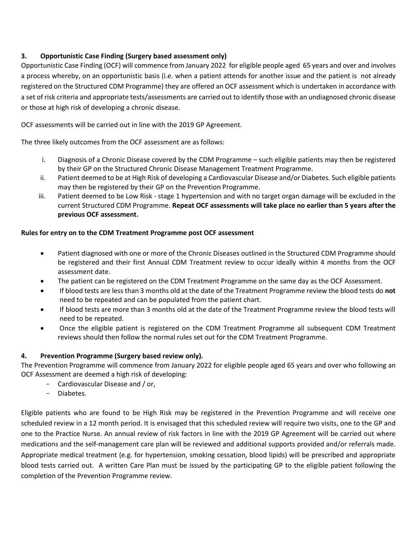# **3. Opportunistic Case Finding (Surgery based assessment only)**

Opportunistic Case Finding (OCF) will commence from January 2022 for eligible people aged 65 years and over and involves a process whereby, on an opportunistic basis (i.e. when a patient attends for another issue and the patient is not already registered on the Structured CDM Programme) they are offered an OCF assessment which is undertaken in accordance with a set of risk criteria and appropriate tests/assessments are carried out to identify those with an undiagnosed chronic disease or those at high risk of developing a chronic disease.

OCF assessments will be carried out in line with the 2019 GP Agreement.

The three likely outcomes from the OCF assessment are as follows:

- i. Diagnosis of a Chronic Disease covered by the CDM Programme such eligible patients may then be registered by their GP on the Structured Chronic Disease Management Treatment Programme.
- ii. Patient deemed to be at High Risk of developing a Cardiovascular Disease and/or Diabetes. Such eligible patients may then be registered by their GP on the Prevention Programme.
- iii. Patient deemed to be Low Risk stage 1 hypertension and with no target organ damage will be excluded in the current Structured CDM Programme. **Repeat OCF assessments will take place no earlier than 5 years after the previous OCF assessment.**

# **Rules for entry on to the CDM Treatment Programme post OCF assessment**

- Patient diagnosed with one or more of the Chronic Diseases outlined in the Structured CDM Programme should be registered and their first Annual CDM Treatment review to occur ideally within 4 months from the OCF assessment date.
- The patient can be registered on the CDM Treatment Programme on the same day as the OCF Assessment.
- If blood tests are less than 3 months old at the date of the Treatment Programme review the blood tests do **not** need to be repeated and can be populated from the patient chart.
- If blood tests are more than 3 months old at the date of the Treatment Programme review the blood tests will need to be repeated.
- Once the eligible patient is registered on the CDM Treatment Programme all subsequent CDM Treatment reviews should then follow the normal rules set out for the CDM Treatment Programme.

# **4. Prevention Programme (Surgery based review only).**

The Prevention Programme will commence from January 2022 for eligible people aged 65 years and over who following an OCF Assessment are deemed a high risk of developing:

- Cardiovascular Disease and / or,
- Diabetes.

Eligible patients who are found to be High Risk may be registered in the Prevention Programme and will receive one scheduled review in a 12 month period. It is envisaged that this scheduled review will require two visits, one to the GP and one to the Practice Nurse. An annual review of risk factors in line with the 2019 GP Agreement will be carried out where medications and the self-management care plan will be reviewed and additional supports provided and/or referrals made. Appropriate medical treatment (e.g. for hypertension, smoking cessation, blood lipids) will be prescribed and appropriate blood tests carried out. A written Care Plan must be issued by the participating GP to the eligible patient following the completion of the Prevention Programme review.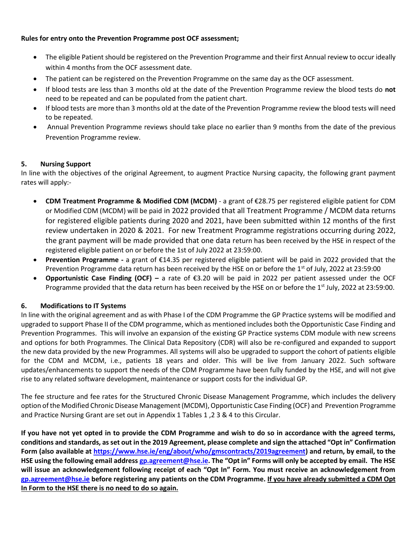### **Rules for entry onto the Prevention Programme post OCF assessment;**

- The eligible Patient should be registered on the Prevention Programme and their first Annual review to occur ideally within 4 months from the OCF assessment date.
- The patient can be registered on the Prevention Programme on the same day as the OCF assessment.
- If blood tests are less than 3 months old at the date of the Prevention Programme review the blood tests do **not** need to be repeated and can be populated from the patient chart.
- If blood tests are more than 3 months old at the date of the Prevention Programme review the blood tests will need to be repeated.
- Annual Prevention Programme reviews should take place no earlier than 9 months from the date of the previous Prevention Programme review.

# **5. Nursing Support**

In line with the objectives of the original Agreement, to augment Practice Nursing capacity, the following grant payment rates will apply:-

- **CDM Treatment Programme & Modified CDM (MCDM)** a grant of €28.75 per registered eligible patient for CDM or Modified CDM (MCDM) will be paid in 2022 provided that all Treatment Programme / MCDM data returns for registered eligible patients during 2020 and 2021, have been submitted within 12 months of the first review undertaken in 2020 & 2021. For new Treatment Programme registrations occurring during 2022, the grant payment will be made provided that one data return has been received by the HSE in respect of the registered eligible patient on or before the 1st of July 2022 at 23:59:00.
- **Prevention Programme -** a grant of €14.35 per registered eligible patient will be paid in 2022 provided that the Prevention Programme data return has been received by the HSE on or before the 1<sup>st</sup> of July, 2022 at 23:59:00
- **Opportunistic Case Finding (OCF) –** a rate of €3.20 will be paid in 2022 per patient assessed under the OCF Programme provided that the data return has been received by the HSE on or before the 1<sup>st</sup> July, 2022 at 23:59:00.

# **6. Modifications to IT Systems**

In line with the original agreement and as with Phase I of the CDM Programme the GP Practice systems will be modified and upgraded to support Phase II of the CDM programme, which as mentioned includes both the Opportunistic Case Finding and Prevention Programmes. This will involve an expansion of the existing GP Practice systems CDM module with new screens and options for both Programmes. The Clinical Data Repository (CDR) will also be re-configured and expanded to support the new data provided by the new Programmes. All systems will also be upgraded to support the cohort of patients eligible for the CDM and MCDM, i.e., patients 18 years and older. This will be live from January 2022. Such software updates/enhancements to support the needs of the CDM Programme have been fully funded by the HSE, and will not give rise to any related software development, maintenance or support costs for the individual GP.

The fee structure and fee rates for the Structured Chronic Disease Management Programme, which includes the delivery option of the Modified Chronic Disease Management (MCDM), Opportunistic Case Finding (OCF) and Prevention Programme and Practice Nursing Grant are set out in Appendix 1 Tables 1 ,2 3 & 4 to this Circular.

**If you have not yet opted in to provide the CDM Programme and wish to do so in accordance with the agreed terms, conditions and standards, as set out in the 2019 Agreement, please complete and sign the attached "Opt in" Confirmation Form (also available at [https://www.hse.ie/eng/about/who/gmscontracts/2019agreement\)](https://www.hse.ie/eng/about/who/gmscontracts/2019agreement/) and return, by email, to the HSE using the following email address [gp.agreement@hse.ie](mailto:gp.agreement@hse.ie). The "Opt in" Forms will only be accepted by email. The HSE will issue an acknowledgement following receipt of each "Opt In" Form. You must receive an acknowledgement from [gp.agreement@hse.ie](mailto:gp.agreement@hse.ie) before registering any patients on the CDM Programme. If you have already submitted a CDM Opt In Form to the HSE there is no need to do so again.**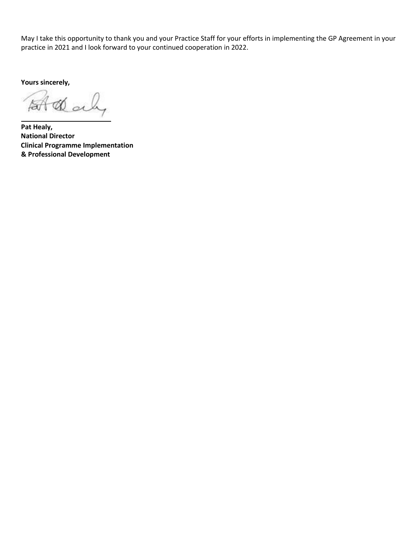May I take this opportunity to thank you and your Practice Staff for your efforts in implementing the GP Agreement in your practice in 2021 and I look forward to your continued cooperation in 2022.

**Yours sincerely,** 

Daly f<del>ar</del>

**Pat Healy, National Director Clinical Programme Implementation & Professional Development**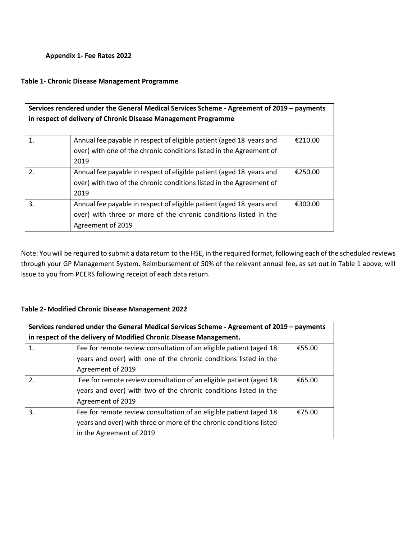### **Appendix 1- Fee Rates 2022**

#### **Table 1- Chronic Disease Management Programme**

| Services rendered under the General Medical Services Scheme - Agreement of 2019 - payments<br>in respect of delivery of Chronic Disease Management Programme |                                                                      |         |  |  |
|--------------------------------------------------------------------------------------------------------------------------------------------------------------|----------------------------------------------------------------------|---------|--|--|
| 1.                                                                                                                                                           | Annual fee payable in respect of eligible patient (aged 18 years and | €210.00 |  |  |
|                                                                                                                                                              | over) with one of the chronic conditions listed in the Agreement of  |         |  |  |
|                                                                                                                                                              | 2019                                                                 |         |  |  |
| $\overline{2}$ .                                                                                                                                             | Annual fee payable in respect of eligible patient (aged 18 years and | €250.00 |  |  |
|                                                                                                                                                              | over) with two of the chronic conditions listed in the Agreement of  |         |  |  |
|                                                                                                                                                              | 2019                                                                 |         |  |  |
| 3.                                                                                                                                                           | Annual fee payable in respect of eligible patient (aged 18 years and | €300.00 |  |  |
|                                                                                                                                                              | over) with three or more of the chronic conditions listed in the     |         |  |  |
|                                                                                                                                                              | Agreement of 2019                                                    |         |  |  |

Note: You will be required to submit a data return to the HSE, in the required format, following each of the scheduled reviews through your GP Management System. Reimbursement of 50% of the relevant annual fee, as set out in Table 1 above, will issue to you from PCERS following receipt of each data return.

### **Table 2- Modified Chronic Disease Management 2022**

| Services rendered under the General Medical Services Scheme - Agreement of 2019 - payments |                                                                     |        |  |  |  |
|--------------------------------------------------------------------------------------------|---------------------------------------------------------------------|--------|--|--|--|
| in respect of the delivery of Modified Chronic Disease Management.                         |                                                                     |        |  |  |  |
| 1.                                                                                         | Fee for remote review consultation of an eligible patient (aged 18) | €55.00 |  |  |  |
|                                                                                            | years and over) with one of the chronic conditions listed in the    |        |  |  |  |
|                                                                                            | Agreement of 2019                                                   |        |  |  |  |
| 2.                                                                                         | Fee for remote review consultation of an eligible patient (aged 18  | €65.00 |  |  |  |
|                                                                                            | years and over) with two of the chronic conditions listed in the    |        |  |  |  |
|                                                                                            | Agreement of 2019                                                   |        |  |  |  |
| 3.                                                                                         | Fee for remote review consultation of an eligible patient (aged 18) | €75.00 |  |  |  |
|                                                                                            | years and over) with three or more of the chronic conditions listed |        |  |  |  |
|                                                                                            | in the Agreement of 2019                                            |        |  |  |  |